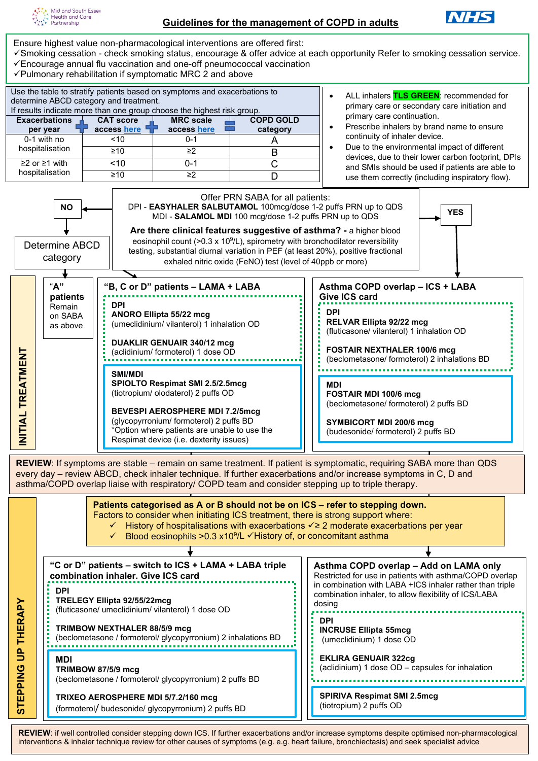



Ensure highest value non-pharmacological interventions are offered first:

- Smoking cessation check smoking status, encourage & offer advice at each opportunity Refer to smoking cessation service. Encourage annual flu vaccination and one-off pneumococcal vaccination
- 
- Use the table to stratify patients based on symptoms and exacerbations to determine ABCD category and treatment. If results indicate more than one group choose the highest risk group. **Exacerbations per year CAT score access [here](https://www.catestonline.org/hcp-homepage.html) MRC scale acces[s here](https://www.pcrs-uk.org/mrc-dyspnoea-scale) COPD GOLD category** 0-1 with no hospitalisation <10 0-1 A ≥10 ≥2 B ≥2 or ≥1 with hospitalisation <10 0-1 C ≥10 ≥2 D  $\checkmark$  Pulmonary rehabilitation if symptomatic MRC 2 and above • ALL inhalers **TLS GREEN**: recommended for primary care or secondary care initiation and primary care continuation. • Prescribe inhalers by brand name to ensure continuity of inhaler device. • Due to the environmental impact of different devices, due to their lower carbon footprint, DPIs and SMIs should be used if patients are able to use them correctly (including inspiratory flow). Offer PRN SABA for all patients: DPI - **EASYHALER SALBUTAMOL** 100mcg/dose 1-2 puffs PRN up to QDS **NO YES** MDI - **SALAMOL MDI** 100 mcg/dose 1-2 puffs PRN up to QDS **Are there clinical features suggestive of asthma? -** a higher blood eosinophil count ( $>0.3 \times 10^9$ /L), spirometry with bronchodilator reversibility testing, substantial diurnal variation in PEF (at least 20%), positive fractional exhaled nitric oxide (FeNO) test (level of 40ppb or more) Determine ABCD category "**A" patients** Remain on SABA as above **"B, C or D" patients – LAMA + LABA DPI ANORO Ellipta 55/22 mcg** (umeclidinium/ vilanterol) 1 inhalation OD **DUAKLIR GENUAIR 340/12 mcg** (aclidinium/ formoterol) 1 dose OD **SMI/MDI SPIOLTO Respimat SMI 2.5/2.5mcg** (tiotropium/ olodaterol) 2 puffs OD **BEVESPI AEROSPHERE MDI 7.2/5mcg Asthma COPD overlap – ICS + LABA Give ICS card DPI RELVAR Ellipta 92/22 mcg** (fluticasone/ vilanterol) 1 inhalation OD **FOSTAIR NEXTHALER 100/6 mcg** (beclometasone/ formoterol) 2 inhalations BD **MDI FOSTAIR MDI 100/6 mcg** (beclometasone/ formoterol) 2 puffs BD

**SYMBICORT MDI 200/6 mcg** (budesonide/ formoterol) 2 puffs BD

**REVIEW**: If symptoms are stable – remain on same treatment. If patient is symptomatic, requiring SABA more than QDS every day – review ABCD, check inhaler technique. If further exacerbations and/or increase symptoms in C, D and

(glycopyrronium/ formoterol) 2 puffs BD \*Option where patients are unable to use the Respimat device (i.e. dexterity issues)

**Example 19 (action formoteor)** 1 dose OD<br> **EXAINS NET AND THERAPY INTERNET (SMARY AND THERAPY INTERNET AND THERAPY INTERNET AND THERAPY INTERNET AND THERAPY INTERNET AND THE CONSIDERATMON (Subsequent and consider second f "C or D" patients – switch to ICS + LAMA + LABA triple combination inhaler. Give ICS card DPI TRELEGY Ellipta 92/55/22mcg**  (fluticasone/ umeclidinium/ vilanterol) 1 dose OD **TRIMBOW NEXTHALER 88/5/9 mcg** (beclometasone / formoterol/ glycopyrronium) 2 inhalations BD **MDI TRIMBOW 87/5/9 mcg** (beclometasone / formoterol/ glycopyrronium) 2 puffs BD **TRIXEO AEROSPHERE MDI 5/7.2/160 mcg** (formoterol/ budesonide/ glycopyrronium) 2 puffs BD **Asthma COPD overlap – Add on LAMA only** Restricted for use in patients with asthma/COPD overlap in combination with LABA +ICS inhaler rather than triple combination inhaler, to allow flexibility of ICS/LABA dosing **DPI INCRUSE Ellipta 55mcg** (umeclidinium) 1 dose OD **EKLIRA GENUAIR 322cg**  (aclidinium) 1 dose OD – capsules for inhalation **SPIRIVA Respimat SMI 2.5mcg** (tiotropium) 2 puffs OD **Patients categorised as A or B should not be on ICS – refer to stepping down.** Factors to consider when initiating ICS treatment, there is strong support where: History of hospitalisations with exacerbations  $\checkmark \geq 2$  moderate exacerbations per year Blood eosinophils > 0.3 x 10<sup>9</sup>/L  $\checkmark$  History of, or concomitant asthma

REVIEW: if well controlled consider stepping down ICS. If further exacerbations and/or increase symptoms despite optimised non-pharmacological interventions & inhaler technique review for other causes of symptoms (e.g. e.g. heart failure, bronchiectasis) and seek specialist advice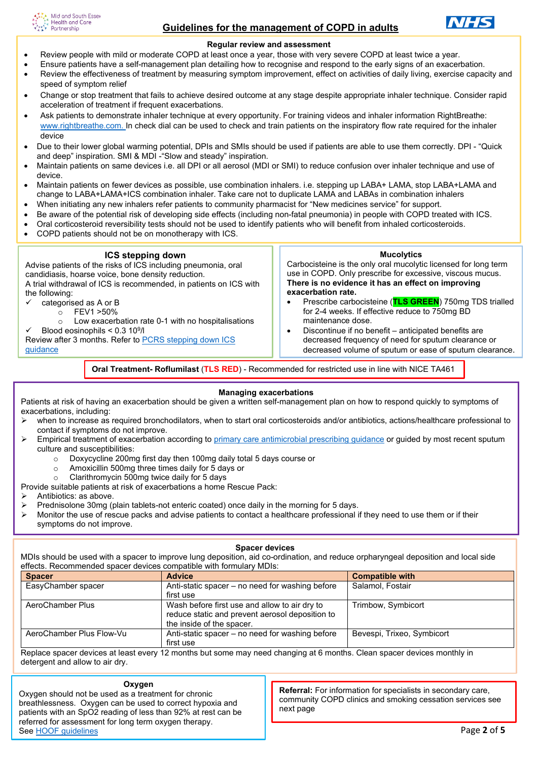



### **Regular review and assessment**

- Review people with mild or moderate COPD at least once a year, those with very severe COPD at least twice a year.
- Ensure patients have a self-management plan detailing how to recognise and respond to the early signs of an exacerbation.
- Review the effectiveness of treatment by measuring symptom improvement, effect on activities of daily living, exercise capacity and speed of symptom relief
- Change or stop treatment that fails to achieve desired outcome at any stage despite appropriate inhaler technique. Consider rapid acceleration of treatment if frequent exacerbations.
- Ask patients to demonstrate inhaler technique at every opportunity. For training videos and inhaler information RightBreathe: [www.rightbreathe.com.](http://www.rightbreathe.com/) In check dial can be used to check and train patients on the inspiratory flow rate required for the inhaler device
- Due to their lower global warming potential, DPIs and SMIs should be used if patients are able to use them correctly. DPI "Quick and deep" inspiration. SMI & MDI -"Slow and steady" inspiration.
- Maintain patients on same devices i.e. all DPI or all aerosol (MDI or SMI) to reduce confusion over inhaler technique and use of device.
- Maintain patients on fewer devices as possible, use combination inhalers. i.e. stepping up LABA+ LAMA, stop LABA+LAMA and change to LABA+LAMA+ICS combination inhaler. Take care not to duplicate LAMA and LABAs in combination inhalers
- When initiating any new inhalers refer patients to community pharmacist for "New medicines service" for support.
- Be aware of the potential risk of developing side effects (including non-fatal pneumonia) in people with COPD treated with ICS.
- Oral corticosteroid reversibility tests should not be used to identify patients who will benefit from inhaled corticosteroids.
- COPD patients should not be on monotherapy with ICS.

| <b>ICS stepping down</b><br>Advise patients of the risks of ICS including pneumonia, oral<br>candidiasis, hoarse voice, bone density reduction.<br>A trial withdrawal of ICS is recommended, in patients on ICS with<br>the following:<br>categorised as A or B<br>FEV1 > 50%<br>$\cap$<br>Low exacerbation rate 0-1 with no hospitalisations<br>$\Omega$<br>Blood eosinophils $< 0.3$ 10 <sup>9</sup> /l<br>Review after 3 months. Refer to PCRS stepping down ICS<br>quidance | <b>Mucolytics</b><br>Carbocisteine is the only oral mucolytic licensed for long term<br>use in COPD. Only prescribe for excessive, viscous mucus.<br>There is no evidence it has an effect on improving<br>exacerbation rate.<br>Prescribe carbocisteine (TLS GREEN) 750mg TDS trialled<br>$\bullet$<br>for 2-4 weeks. If effective reduce to 750mg BD<br>maintenance dose.<br>Discontinue if no benefit – anticipated benefits are<br>$\bullet$<br>decreased frequency of need for sputum clearance or<br>decreased volume of sputum or ease of sputum clearance. |
|---------------------------------------------------------------------------------------------------------------------------------------------------------------------------------------------------------------------------------------------------------------------------------------------------------------------------------------------------------------------------------------------------------------------------------------------------------------------------------|--------------------------------------------------------------------------------------------------------------------------------------------------------------------------------------------------------------------------------------------------------------------------------------------------------------------------------------------------------------------------------------------------------------------------------------------------------------------------------------------------------------------------------------------------------------------|
|                                                                                                                                                                                                                                                                                                                                                                                                                                                                                 |                                                                                                                                                                                                                                                                                                                                                                                                                                                                                                                                                                    |

**Oral Treatment- Roflumilast** (**TLS RED**) - Recommended for restricted use in line with NICE TA461

#### **Managing exacerbations**

Patients at risk of having an exacerbation should be given a written self-management plan on how to respond quickly to symptoms of exacerbations, including:

- when to increase as required bronchodilators, when to start oral corticosteroids and/or antibiotics, actions/healthcare professional to contact if symptoms do not improve.
- Empirical treatment of exacerbation according to [primary care antimicrobial prescribing guidance](https://coronavirus.msehealthandcarepartnership.co.uk/content/uploads/2021/03/Primary-Care-antimicrobial-guidance-mananging-common-infections.pdf) or guided by most recent sputum culture and susceptibilities:
	- $\circ$  Doxycycline 200mg first day then 100mg daily total 5 days course or  $\circ$  Amoxicillin 500mg three times daily for 5 days or
		- Amoxicillin 500mg three times daily for 5 days or
	- o Clarithromycin 500mg twice daily for 5 days
- Provide suitable patients at risk of exacerbations a home Rescue Pack:
- Antibiotics: as above.
- $\triangleright$  Prednisolone 30mg (plain tablets-not enteric coated) once daily in the morning for 5 days.
- $\triangleright$  Monitor the use of rescue packs and advise patients to contact a healthcare professional if they need to use them or if their symptoms do not improve.

#### **Spacer devices**

MDIs should be used with a spacer to improve lung deposition, aid co-ordination, and reduce orpharyngeal deposition and local side effects. Recommended spacer devices compatible with formulary MDIs:

| <b>Spacer</b>            | <b>Advice</b>                                   | <b>Compatible with</b>     |
|--------------------------|-------------------------------------------------|----------------------------|
| EasyChamber spacer       | Anti-static spacer – no need for washing before | Salamol, Fostair           |
|                          | first use                                       |                            |
| AeroChamber Plus         | Wash before first use and allow to air dry to   | Trimbow, Symbicort         |
|                          | reduce static and prevent aerosol deposition to |                            |
|                          | the inside of the spacer.                       |                            |
| AeroChamber Plus Flow-Vu | Anti-static spacer - no need for washing before | Bevespi, Trixeo, Symbicort |
|                          | first use                                       |                            |

Replace spacer devices at least every 12 months but some may need changing at 6 months. Clean spacer devices monthly in detergent and allow to air dry.

#### **Oxygen**

Oxygen should not be used as a treatment for chronic breathlessness. Oxygen can be used to correct hypoxia and patients with an SpO2 reading of less than 92% at rest can be referred for assessment for long term oxygen therapy. See HOOF quidelines

**Referral:** For information for specialists in secondary care, community COPD clinics and smoking cessation services see next page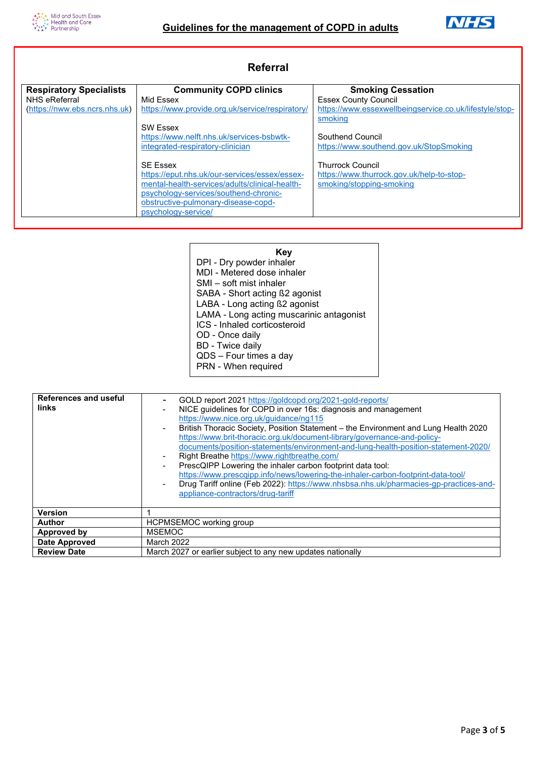i



| Referral                       |                                                 |                                                         |  |
|--------------------------------|-------------------------------------------------|---------------------------------------------------------|--|
| <b>Respiratory Specialists</b> | <b>Community COPD clinics</b>                   | <b>Smoking Cessation</b>                                |  |
| NHS eReferral                  | Mid Fssex                                       | <b>Essex County Council</b>                             |  |
| (https://nww.ebs.ncrs.nhs.uk)  | https://www.provide.org.uk/service/respiratory/ | https://www.essexwellbeingservice.co.uk/lifestyle/stop- |  |
|                                |                                                 | smoking                                                 |  |
|                                | <b>SW Essex</b>                                 |                                                         |  |
|                                | https://www.nelft.nhs.uk/services-bsbwtk-       | Southend Council                                        |  |
|                                | integrated-respiratory-clinician                | https://www.southend.gov.uk/StopSmoking                 |  |
|                                | <b>SF Essex</b>                                 | <b>Thurrock Council</b>                                 |  |
|                                | https://eput.nhs.uk/our-services/essex/essex-   | https://www.thurrock.gov.uk/help-to-stop-               |  |
|                                | mental-health-services/adults/clinical-health-  | smoking/stopping-smoking                                |  |
|                                | psychology-services/southend-chronic-           |                                                         |  |
|                                | obstructive-pulmonary-disease-copd-             |                                                         |  |
|                                | psychology-service/                             |                                                         |  |
|                                |                                                 |                                                         |  |

| Kev                                      |
|------------------------------------------|
| DPI - Dry powder inhaler                 |
| MDI - Metered dose inhaler               |
| SMI – soft mist inhaler                  |
| SABA - Short acting ß2 agonist           |
| LABA - Long acting ß2 agonist            |
| LAMA - Long acting muscarinic antagonist |
| ICS - Inhaled corticosteroid             |
| OD - Once daily                          |
| <b>BD</b> - Twice daily                  |
| QDS - Four times a day                   |
| PRN - When required                      |

| <b>References and useful</b><br>links | GOLD report 2021 https://goldcopd.org/2021-gold-reports/<br>NICE guidelines for COPD in over 16s: diagnosis and management<br>https://www.nice.org.uk/guidance/ng115<br>British Thoracic Society, Position Statement – the Environment and Lung Health 2020<br>https://www.brit-thoracic.org.uk/document-library/governance-and-policy-<br>documents/position-statements/environment-and-lung-health-position-statement-2020/<br>Right Breathe https://www.rightbreathe.com/<br>PrescQIPP Lowering the inhaler carbon footprint data tool:<br>https://www.prescqipp.info/news/lowering-the-inhaler-carbon-footprint-data-tool/<br>Drug Tariff online (Feb 2022): https://www.nhsbsa.nhs.uk/pharmacies-gp-practices-and-<br>appliance-contractors/drug-tariff |  |  |
|---------------------------------------|--------------------------------------------------------------------------------------------------------------------------------------------------------------------------------------------------------------------------------------------------------------------------------------------------------------------------------------------------------------------------------------------------------------------------------------------------------------------------------------------------------------------------------------------------------------------------------------------------------------------------------------------------------------------------------------------------------------------------------------------------------------|--|--|
| <b>Version</b>                        |                                                                                                                                                                                                                                                                                                                                                                                                                                                                                                                                                                                                                                                                                                                                                              |  |  |
| <b>Author</b>                         | <b>HCPMSEMOC working group</b>                                                                                                                                                                                                                                                                                                                                                                                                                                                                                                                                                                                                                                                                                                                               |  |  |
| Approved by                           | <b>MSEMOC</b>                                                                                                                                                                                                                                                                                                                                                                                                                                                                                                                                                                                                                                                                                                                                                |  |  |
| <b>Date Approved</b>                  | <b>March 2022</b>                                                                                                                                                                                                                                                                                                                                                                                                                                                                                                                                                                                                                                                                                                                                            |  |  |
| <b>Review Date</b>                    | March 2027 or earlier subject to any new updates nationally                                                                                                                                                                                                                                                                                                                                                                                                                                                                                                                                                                                                                                                                                                  |  |  |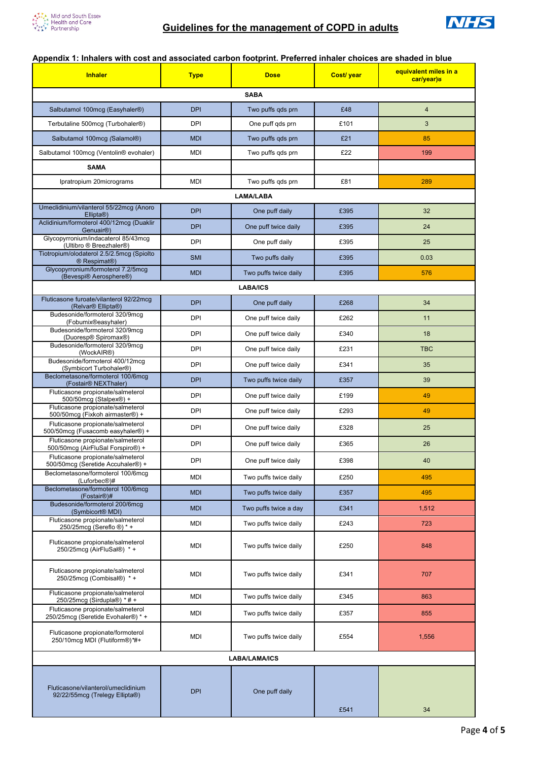

## **Appendix 1: Inhalers with cost and associated carbon footprint. Preferred inhaler choices are shaded in blue**

| <b>Inhaler</b>                                                                         | <b>Type</b> | <b>Dose</b>           | Cost/ year | equivalent miles in a<br>car/year)8 |
|----------------------------------------------------------------------------------------|-------------|-----------------------|------------|-------------------------------------|
| <b>SABA</b>                                                                            |             |                       |            |                                     |
| Salbutamol 100mcg (Easyhaler <sup>®</sup> )                                            | <b>DPI</b>  | Two puffs qds prn     | £48        | $\overline{4}$                      |
| Terbutaline 500mcg (Turbohaler®)                                                       | DPI         | One puff gds prn      | £101       | 3                                   |
| Salbutamol 100mcg (Salamol®)                                                           | <b>MDI</b>  | Two puffs gds prn     | £21        | 85                                  |
| Salbutamol 100mcg (Ventolin <sup>®</sup> evohaler)                                     | <b>MDI</b>  | Two puffs gds prn     | £22        | 199                                 |
| <b>SAMA</b>                                                                            |             |                       |            |                                     |
| Ipratropium 20micrograms                                                               | MDI         | Two puffs gds prn     | £81        | 289                                 |
|                                                                                        |             | <b>LAMA/LABA</b>      |            |                                     |
| Umeclidinium/vilanterol 55/22mcg (Anoro<br>Ellipta®)                                   | <b>DPI</b>  | One puff daily        | £395       | 32                                  |
| Aclidinium/formoterol 400/12mcg (Duaklir<br>Genuair <sup>®</sup> )                     | <b>DPI</b>  | One puff twice daily  | £395       | 24                                  |
| Glycopyrronium/indacaterol 85/43mcg<br>(Ultibro ® Breezhaler®)                         | DPI         | One puff daily        | £395       | 25                                  |
| Tiotropium/olodaterol 2.5/2.5mcg (Spiolto<br>® Respimat®)                              | <b>SMI</b>  | Two puffs daily       | £395       | 0.03                                |
| Glycopyrronium/formoterol 7.2/5mcg<br>(Bevespi® Aerosphere®)                           | <b>MDI</b>  | Two puffs twice daily | £395       | 576                                 |
|                                                                                        |             | <b>LABA/ICS</b>       |            |                                     |
| Fluticasone furoate/vilanterol 92/22mcg<br>(Relvar <sup>®</sup> Ellipta <sup>®</sup> ) | <b>DPI</b>  | One puff daily        | £268       | 34                                  |
| Budesonide/formoterol 320/9mcq<br>(Fobumix®easyhaler)                                  | DPI         | One puff twice daily  | £262       | 11                                  |
| Budesonide/formoterol 320/9mcg<br>(Duoresp® Spiromax®)                                 | <b>DPI</b>  | One puff twice daily  | £340       | 18                                  |
| Budesonide/formoterol 320/9mcq<br>(WockAIR®)                                           | DPI         | One puff twice daily  | £231       | <b>TBC</b>                          |
| Budesonide/formoterol 400/12mcq                                                        | DPI         | One puff twice daily  | £341       | 35                                  |
| (Symbicort Turbohaler <sup>®</sup> )<br>Beclometasone/formoterol 100/6mcq              | <b>DPI</b>  | Two puffs twice daily | £357       | 39                                  |
| (Fostair <sup>®</sup> NEXThaler)<br>Fluticasone propionate/salmeterol                  | DPI         | One puff twice daily  | £199       | 49                                  |
| 500/50mcg (Stalpex®) +<br>Fluticasone propionate/salmeterol                            | <b>DPI</b>  | One puff twice daily  | £293       | 49                                  |
| 500/50mcg (Fixkoh airmaster®) +<br>Fluticasone propionate/salmeterol                   | <b>DPI</b>  | One puff twice daily  | £328       | 25                                  |
| 500/50mcg (Fusacomb easyhaler®) +<br>Fluticasone propionate/salmeterol                 | <b>DPI</b>  | One puff twice daily  | £365       | 26                                  |
| 500/50mcg (AirFluSal Forspiro®) +<br>Fluticasone propionate/salmeterol                 |             |                       |            |                                     |
| 500/50mcq (Seretide Accuhaler®) +<br>Beclometasone/formoterol 100/6mcq                 | DPI         | One puff twice daily  | £398       | 40                                  |
| (Luforbec <sup>®</sup> )#                                                              | MDI         | Two puffs twice daily | £250       | 495                                 |
| Beclometasone/formoterol 100/6mcq<br>(Fostair <sup>®</sup> )#                          | <b>MDI</b>  | Two puffs twice daily | £357       | 495                                 |
| Budesonide/formoterol 200/6mcg<br>(Symbicort <sup>®</sup> MDI)                         | <b>MDI</b>  | Two puffs twice a day | £341       | 1,512                               |
| Fluticasone propionate/salmeterol<br>250/25mcg (Sereflo ®) * +                         | MDI         | Two puffs twice daily | £243       | 723                                 |
| Fluticasone propionate/salmeterol<br>250/25mcq (AirFluSal®) * +                        | MDI         | Two puffs twice daily | £250       | 848                                 |
| Fluticasone propionate/salmeterol<br>250/25mcg (Combisal®) * +                         | MDI         | Two puffs twice daily | £341       | 707                                 |
| Fluticasone propionate/salmeterol<br>250/25mcg (Sirdupla®) * # +                       | MDI         | Two puffs twice daily | £345       | 863                                 |
| Fluticasone propionate/salmeterol<br>250/25mcg (Seretide Evohaler®) * +                | MDI         | Two puffs twice daily | £357       | 855                                 |
| Fluticasone propionate/formoterol<br>250/10mcg MDI (Flutiform®)*#+                     | MDI         | Two puffs twice daily | £554       | 1,556                               |
| LABA/LAMA/ICS                                                                          |             |                       |            |                                     |
| Fluticasone/vilanterol/umeclidinium<br>92/22/55mcg (Trelegy Ellipta®)                  | <b>DPI</b>  | One puff daily        |            |                                     |
|                                                                                        |             |                       | £541       | 34                                  |